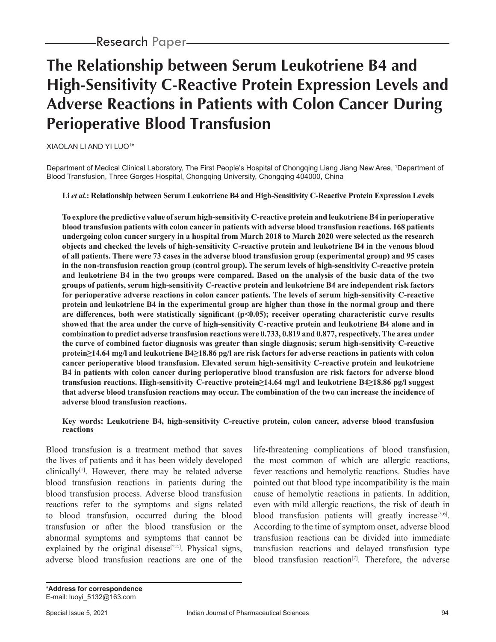# **The Relationship between Serum Leukotriene B4 and High-Sensitivity C-Reactive Protein Expression Levels and Adverse Reactions in Patients with Colon Cancer During Perioperative Blood Transfusion**

XIAOLAN LI AND YI LUO1 \*

Department of Medical Clinical Laboratory, The First People's Hospital of Chongqing Liang Jiang New Area, 1 Department of Blood Transfusion, Three Gorges Hospital, Chongqing University, Chongqing 404000, China

#### **Li** *et al.***: Relationship between Serum Leukotriene B4 and High-Sensitivity C-Reactive Protein Expression Levels**

**To explore the predictive value of serum high-sensitivity C-reactive protein and leukotriene B4 in perioperative blood transfusion patients with colon cancer in patients with adverse blood transfusion reactions. 168 patients undergoing colon cancer surgery in a hospital from March 2018 to March 2020 were selected as the research objects and checked the levels of high-sensitivity C-reactive protein and leukotriene B4 in the venous blood of all patients. There were 73 cases in the adverse blood transfusion group (experimental group) and 95 cases in the non-transfusion reaction group (control group). The serum levels of high-sensitivity C-reactive protein and leukotriene B4 in the two groups were compared. Based on the analysis of the basic data of the two groups of patients, serum high-sensitivity C-reactive protein and leukotriene B4 are independent risk factors for perioperative adverse reactions in colon cancer patients. The levels of serum high-sensitivity C-reactive protein and leukotriene B4 in the experimental group are higher than those in the normal group and there are differences, both were statistically significant (p<0.05); receiver operating characteristic curve results showed that the area under the curve of high-sensitivity C-reactive protein and leukotriene B4 alone and in combination to predict adverse transfusion reactions were 0.733, 0.819 and 0.877, respectively. The area under the curve of combined factor diagnosis was greater than single diagnosis; serum high-sensitivity C-reactive protein≥14.64 mg/l and leukotriene B4≥18.86 pg/l are risk factors for adverse reactions in patients with colon cancer perioperative blood transfusion. Elevated serum high-sensitivity C-reactive protein and leukotriene B4 in patients with colon cancer during perioperative blood transfusion are risk factors for adverse blood transfusion reactions. High-sensitivity C-reactive protein≥14.64 mg/l and leukotriene B4≥18.86 pg/l suggest that adverse blood transfusion reactions may occur. The combination of the two can increase the incidence of adverse blood transfusion reactions.**

#### **Key words: Leukotriene B4, high-sensitivity C-reactive protein, colon cancer, adverse blood transfusion reactions**

Blood transfusion is a treatment method that saves the lives of patients and it has been widely developed clinically $[1]$ . However, there may be related adverse blood transfusion reactions in patients during the blood transfusion process. Adverse blood transfusion reactions refer to the symptoms and signs related to blood transfusion, occurred during the blood transfusion or after the blood transfusion or the abnormal symptoms and symptoms that cannot be explained by the original disease<sup>[2-4]</sup>. Physical signs, adverse blood transfusion reactions are one of the life-threatening complications of blood transfusion, the most common of which are allergic reactions, fever reactions and hemolytic reactions. Studies have pointed out that blood type incompatibility is the main cause of hemolytic reactions in patients. In addition, even with mild allergic reactions, the risk of death in blood transfusion patients will greatly increase<sup>[5,6]</sup>. According to the time of symptom onset, adverse blood transfusion reactions can be divided into immediate transfusion reactions and delayed transfusion type blood transfusion reaction<sup>[7]</sup>. Therefore, the adverse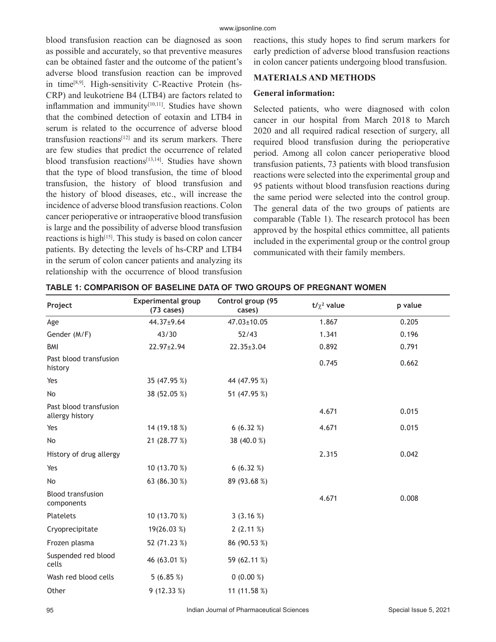blood transfusion reaction can be diagnosed as soon as possible and accurately, so that preventive measures can be obtained faster and the outcome of the patient's adverse blood transfusion reaction can be improved in time[8,9]. High-sensitivity C-Reactive Protein (hs-CRP) and leukotriene B4 (LTB4) are factors related to inflammation and immunity<sup>[10,11]</sup>. Studies have shown that the combined detection of eotaxin and LTB4 in serum is related to the occurrence of adverse blood transfusion reactions[12] and its serum markers. There are few studies that predict the occurrence of related blood transfusion reactions<sup>[13,14]</sup>. Studies have shown that the type of blood transfusion, the time of blood transfusion, the history of blood transfusion and the history of blood diseases, etc., will increase the incidence of adverse blood transfusion reactions. Colon cancer perioperative or intraoperative blood transfusion is large and the possibility of adverse blood transfusion reactions is high<sup>[15]</sup>. This study is based on colon cancer patients. By detecting the levels of hs-CRP and LTB4 in the serum of colon cancer patients and analyzing its relationship with the occurrence of blood transfusion reactions, this study hopes to find serum markers for early prediction of adverse blood transfusion reactions in colon cancer patients undergoing blood transfusion.

# **MATERIALS AND METHODS**

#### **General information:**

Selected patients, who were diagnosed with colon cancer in our hospital from March 2018 to March 2020 and all required radical resection of surgery, all required blood transfusion during the perioperative period. Among all colon cancer perioperative blood transfusion patients, 73 patients with blood transfusion reactions were selected into the experimental group and 95 patients without blood transfusion reactions during the same period were selected into the control group. The general data of the two groups of patients are comparable (Table 1). The research protocol has been approved by the hospital ethics committee, all patients included in the experimental group or the control group communicated with their family members.

| Project                                   | <b>Experimental group</b><br>(73 cases) | Control group (95<br>cases) | $t/\chi^2$ value | p value |
|-------------------------------------------|-----------------------------------------|-----------------------------|------------------|---------|
| Age                                       | 44.37±9.64                              | 47.03±10.05                 | 1.867            | 0.205   |
| Gender (M/F)                              | 43/30                                   | 52/43                       | 1.341            | 0.196   |
| <b>BMI</b>                                | 22.97±2.94                              | 22.35±3.04                  | 0.892            | 0.791   |
| Past blood transfusion<br>history         |                                         |                             | 0.745            | 0.662   |
| Yes                                       | 35 (47.95 %)                            | 44 (47.95 %)                |                  |         |
| No                                        | 38 (52.05 %)                            | 51 (47.95 %)                |                  |         |
| Past blood transfusion<br>allergy history |                                         |                             | 4.671            | 0.015   |
| Yes                                       | 14 (19.18 %)                            | 6(6.32%)                    | 4.671            | 0.015   |
| No                                        | 21 (28.77 %)                            | 38 (40.0%)                  |                  |         |
| History of drug allergy                   |                                         |                             | 2.315            | 0.042   |
| Yes                                       | 10 (13.70 %)                            | 6(6.32%)                    |                  |         |
| No                                        | 63 (86.30 %)                            | 89 (93.68%)                 |                  |         |
| <b>Blood transfusion</b><br>components    |                                         |                             | 4.671            | 0.008   |
| Platelets                                 | 10 (13.70 %)                            | 3(3.16%)                    |                  |         |
| Cryoprecipitate                           | 19(26.03 %)                             | 2(2.11%)                    |                  |         |
| Frozen plasma                             | 52 (71.23 %)                            | 86 (90.53 %)                |                  |         |
| Suspended red blood<br>cells              | 46 (63.01 %)                            | 59 (62.11 %)                |                  |         |
| Wash red blood cells                      | 5 $(6.85%)$                             | $0(0.00\%)$                 |                  |         |
| Other                                     | 9(12.33%)                               | 11 (11.58 %)                |                  |         |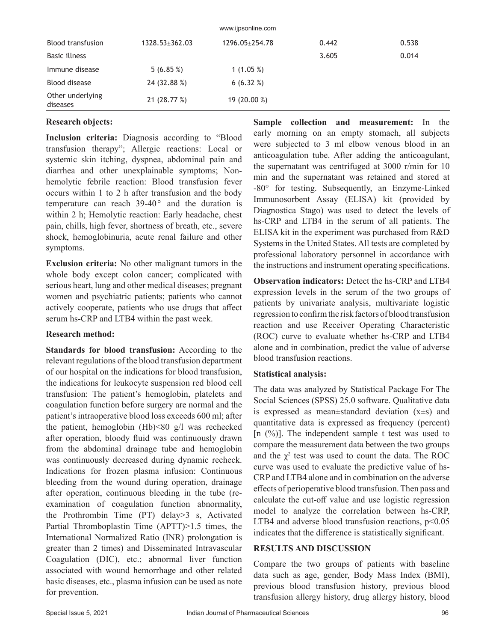| <b>WWW.IPSOFIIIIIG.COTTL</b> |                      |                |       |       |  |  |  |
|------------------------------|----------------------|----------------|-------|-------|--|--|--|
| <b>Blood transfusion</b>     | $1328.53 \pm 362.03$ | 1296.05+254.78 | 0.442 | 0.538 |  |  |  |
| Basic illness                |                      |                | 3.605 | 0.014 |  |  |  |
| Immune disease               | 5(6.85%)             | 1 $(1.05\%)$   |       |       |  |  |  |
| Blood disease                | 24 (32.88 %)         | 6(6.32%)       |       |       |  |  |  |
| Other underlying<br>diseases | 21 (28.77 %)         | 19 (20.00 %)   |       |       |  |  |  |

www.ijpsonline.com

#### **Research objects:**

**Inclusion criteria:** Diagnosis according to "Blood transfusion therapy"; Allergic reactions: Local or systemic skin itching, dyspnea, abdominal pain and diarrhea and other unexplainable symptoms; Nonhemolytic febrile reaction: Blood transfusion fever occurs within 1 to 2 h after transfusion and the body temperature can reach  $39-40^{\circ}$  and the duration is within 2 h; Hemolytic reaction: Early headache, chest pain, chills, high fever, shortness of breath, etc., severe shock, hemoglobinuria, acute renal failure and other symptoms.

**Exclusion criteria:** No other malignant tumors in the whole body except colon cancer; complicated with serious heart, lung and other medical diseases; pregnant women and psychiatric patients; patients who cannot actively cooperate, patients who use drugs that affect serum hs-CRP and LTB4 within the past week.

# **Research method:**

**Standards for blood transfusion:** According to the relevant regulations of the blood transfusion department of our hospital on the indications for blood transfusion, the indications for leukocyte suspension red blood cell transfusion: The patient's hemoglobin, platelets and coagulation function before surgery are normal and the patient's intraoperative blood loss exceeds 600 ml; after the patient, hemoglobin (Hb)<80 g/l was rechecked after operation, bloody fluid was continuously drawn from the abdominal drainage tube and hemoglobin was continuously decreased during dynamic recheck. Indications for frozen plasma infusion: Continuous bleeding from the wound during operation, drainage after operation, continuous bleeding in the tube (reexamination of coagulation function abnormality, the Prothrombin Time (PT) delay>3 s, Activated Partial Thromboplastin Time (APTT)>1.5 times, the International Normalized Ratio (INR) prolongation is greater than 2 times) and Disseminated Intravascular Coagulation (DIC), etc.; abnormal liver function associated with wound hemorrhage and other related basic diseases, etc., plasma infusion can be used as note for prevention.

**Sample collection and measurement:** In the early morning on an empty stomach, all subjects were subjected to 3 ml elbow venous blood in an anticoagulation tube. After adding the anticoagulant, the supernatant was centrifuged at 3000 r/min for 10 min and the supernatant was retained and stored at -80° for testing. Subsequently, an Enzyme-Linked Immunosorbent Assay (ELISA) kit (provided by Diagnostica Stago) was used to detect the levels of hs-CRP and LTB4 in the serum of all patients. The ELISA kit in the experiment was purchased from R&D Systems in the United States. All tests are completed by professional laboratory personnel in accordance with the instructions and instrument operating specifications.

**Observation indicators:** Detect the hs-CRP and LTB4 expression levels in the serum of the two groups of patients by univariate analysis, multivariate logistic regression to confirm the risk factors of blood transfusion reaction and use Receiver Operating Characteristic (ROC) curve to evaluate whether hs-CRP and LTB4 alone and in combination, predict the value of adverse blood transfusion reactions.

# **Statistical analysis:**

The data was analyzed by Statistical Package For The Social Sciences (SPSS) 25.0 software. Qualitative data is expressed as mean $\pm$ standard deviation (x $\pm$ s) and quantitative data is expressed as frequency (percent) [n  $(\%)$ ]. The independent sample t test was used to compare the measurement data between the two groups and the  $\chi^2$  test was used to count the data. The ROC curve was used to evaluate the predictive value of hs-CRP and LTB4 alone and in combination on the adverse effects of perioperative blood transfusion. Then pass and calculate the cut-off value and use logistic regression model to analyze the correlation between hs-CRP, LTB4 and adverse blood transfusion reactions,  $p$ <0.05 indicates that the difference is statistically significant.

# **RESULTS AND DISCUSSION**

Compare the two groups of patients with baseline data such as age, gender, Body Mass Index (BMI), previous blood transfusion history, previous blood transfusion allergy history, drug allergy history, blood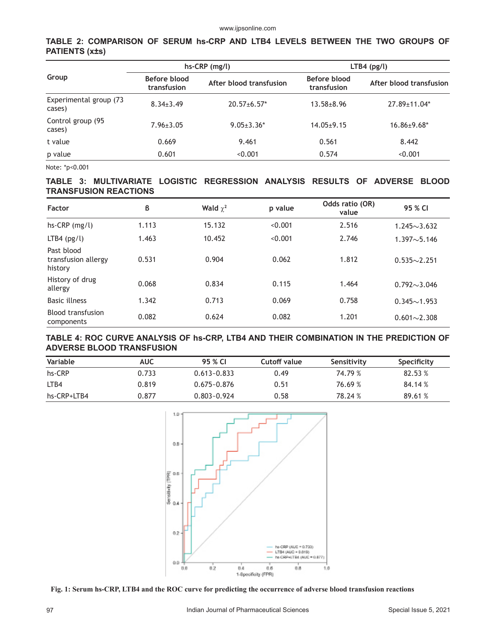#### **TABLE 2: COMPARISON OF SERUM hs-CRP AND LTB4 LEVELS BETWEEN THE TWO GROUPS OF PATIENTS (x±s)**

| Group                            | $hs-CRP$ (mg/l)             |                         | $LTB4$ (pg/l)               |                         |  |
|----------------------------------|-----------------------------|-------------------------|-----------------------------|-------------------------|--|
|                                  | Before blood<br>transfusion | After blood transfusion | Before blood<br>transfusion | After blood transfusion |  |
| Experimental group (73<br>cases) | $8.34 \pm 3.49$             | $20.57 \pm 6.57$ *      | $13.58 \pm 8.96$            | 27.89±11.04*            |  |
| Control group (95<br>cases)      | $7.96 \pm 3.05$             | $9.05 \pm 3.36*$        | $14.05 \pm 9.15$            | $16.86 \pm 9.68^*$      |  |
| t value                          | 0.669                       | 9.461                   | 0.561                       | 8.442                   |  |
| p value                          | 0.601                       | < 0.001                 | 0.574                       | < 0.001                 |  |

Note: \*p<0.001

#### **TABLE 3: MULTIVARIATE LOGISTIC REGRESSION ANALYSIS RESULTS OF ADVERSE BLOOD TRANSFUSION REACTIONS**

| <b>Factor</b>                                | ß     | Wald $\chi^2$ | p value | Odds ratio (OR)<br>value | 95 % CI                  |
|----------------------------------------------|-------|---------------|---------|--------------------------|--------------------------|
| $hs-CRP$ (mg/l)                              | 1.113 | 15.132        | < 0.001 | 2.516                    | $1.245 \sim 3.632$       |
| $LTB4$ (pg/l)                                | 1.463 | 10.452        | < 0.001 | 2.746                    | 1.397 <sub>0</sub> 5.146 |
| Past blood<br>transfusion allergy<br>history | 0.531 | 0.904         | 0.062   | 1.812                    | $0.535 \sim 2.251$       |
| History of drug<br>allergy                   | 0.068 | 0.834         | 0.115   | 1.464                    | $0.792{\sim}3.046$       |
| <b>Basic illness</b>                         | 1.342 | 0.713         | 0.069   | 0.758                    | $0.345 \sim 1.953$       |
| <b>Blood transfusion</b><br>components       | 0.082 | 0.624         | 0.082   | 1.201                    | $0.601 \sim 2.308$       |

#### **TABLE 4: ROC CURVE ANALYSIS OF hs-CRP, LTB4 AND THEIR COMBINATION IN THE PREDICTION OF ADVERSE BLOOD TRANSFUSION**

| Variable    | <b>AUC</b> | 95 % CL         | Cutoff value | Sensitivity | Specificity |
|-------------|------------|-----------------|--------------|-------------|-------------|
| hs-CRP      | 0.733      | $0.613 - 0.833$ | 0.49         | 74.79 %     | 82.53 %     |
| LTB4        | 0.819      | 0.675~0.876     | 0.51         | 76.69 %     | 84.14 %     |
| hs-CRP+LTB4 | 0.877      | 0.803~0.924     | 0.58         | 78.24 %     | 89.61 %     |



**Fig. 1: Serum hs-CRP, LTB4 and the ROC curve for predicting the occurrence of adverse blood transfusion reactions**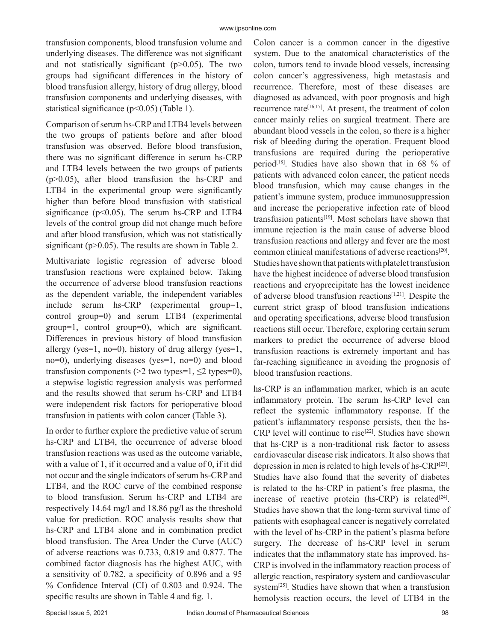transfusion components, blood transfusion volume and underlying diseases. The difference was not significant and not statistically significant  $(p>0.05)$ . The two groups had significant differences in the history of blood transfusion allergy, history of drug allergy, blood transfusion components and underlying diseases, with statistical significance (p<0.05) (Table 1).

Comparison of serum hs-CRP and LTB4 levels between the two groups of patients before and after blood transfusion was observed. Before blood transfusion, there was no significant difference in serum hs-CRP and LTB4 levels between the two groups of patients (p>0.05), after blood transfusion the hs-CRP and LTB4 in the experimental group were significantly higher than before blood transfusion with statistical significance ( $p$ <0.05). The serum hs-CRP and LTB4 levels of the control group did not change much before and after blood transfusion, which was not statistically significant ( $p > 0.05$ ). The results are shown in Table 2.

Multivariate logistic regression of adverse blood transfusion reactions were explained below. Taking the occurrence of adverse blood transfusion reactions as the dependent variable, the independent variables include serum hs-CRP (experimental group=1, control group=0) and serum LTB4 (experimental group=1, control group=0), which are significant. Differences in previous history of blood transfusion allergy (yes=1, no=0), history of drug allergy (yes=1, no=0), underlying diseases (yes=1, no=0) and blood transfusion components ( $>2$  two types=1,  $\leq$  types=0), a stepwise logistic regression analysis was performed and the results showed that serum hs-CRP and LTB4 were independent risk factors for perioperative blood transfusion in patients with colon cancer (Table 3).

In order to further explore the predictive value of serum hs-CRP and LTB4, the occurrence of adverse blood transfusion reactions was used as the outcome variable, with a value of 1, if it occurred and a value of 0, if it did not occur and the single indicators of serum hs-CRP and LTB4, and the ROC curve of the combined response to blood transfusion. Serum hs-CRP and LTB4 are respectively 14.64 mg/l and 18.86 pg/l as the threshold value for prediction. ROC analysis results show that hs-CRP and LTB4 alone and in combination predict blood transfusion. The Area Under the Curve (AUC) of adverse reactions was 0.733, 0.819 and 0.877. The combined factor diagnosis has the highest AUC, with a sensitivity of 0.782, a specificity of 0.896 and a 95 % Confidence Interval (CI) of 0.803 and 0.924. The specific results are shown in Table 4 and fig. 1.

Colon cancer is a common cancer in the digestive system. Due to the anatomical characteristics of the colon, tumors tend to invade blood vessels, increasing colon cancer's aggressiveness, high metastasis and recurrence. Therefore, most of these diseases are diagnosed as advanced, with poor prognosis and high recurrence rate<sup>[16,17]</sup>. At present, the treatment of colon cancer mainly relies on surgical treatment. There are abundant blood vessels in the colon, so there is a higher risk of bleeding during the operation. Frequent blood transfusions are required during the perioperative period<sup>[18]</sup>. Studies have also shown that in 68  $%$  of patients with advanced colon cancer, the patient needs blood transfusion, which may cause changes in the patient's immune system, produce immunosuppression and increase the perioperative infection rate of blood transfusion patients[19]. Most scholars have shown that immune rejection is the main cause of adverse blood transfusion reactions and allergy and fever are the most common clinical manifestations of adverse reactions[20]. Studies have shown that patients with platelet transfusion have the highest incidence of adverse blood transfusion reactions and cryoprecipitate has the lowest incidence of adverse blood transfusion reactions[1,21]. Despite the current strict grasp of blood transfusion indications and operating specifications, adverse blood transfusion reactions still occur. Therefore, exploring certain serum markers to predict the occurrence of adverse blood transfusion reactions is extremely important and has far-reaching significance in avoiding the prognosis of blood transfusion reactions.

hs-CRP is an inflammation marker, which is an acute inflammatory protein. The serum hs-CRP level can reflect the systemic inflammatory response. If the patient's inflammatory response persists, then the hs-CRP level will continue to rise<sup>[22]</sup>. Studies have shown that hs-CRP is a non-traditional risk factor to assess cardiovascular disease risk indicators. It also shows that depression in men is related to high levels of hs-CRP[23]. Studies have also found that the severity of diabetes is related to the hs-CRP in patient's free plasma, the increase of reactive protein (hs-CRP) is related $[24]$ . Studies have shown that the long-term survival time of patients with esophageal cancer is negatively correlated with the level of hs-CRP in the patient's plasma before surgery. The decrease of hs-CRP level in serum indicates that the inflammatory state has improved. hs-CRP is involved in the inflammatory reaction process of allergic reaction, respiratory system and cardiovascular system[25]. Studies have shown that when a transfusion hemolysis reaction occurs, the level of LTB4 in the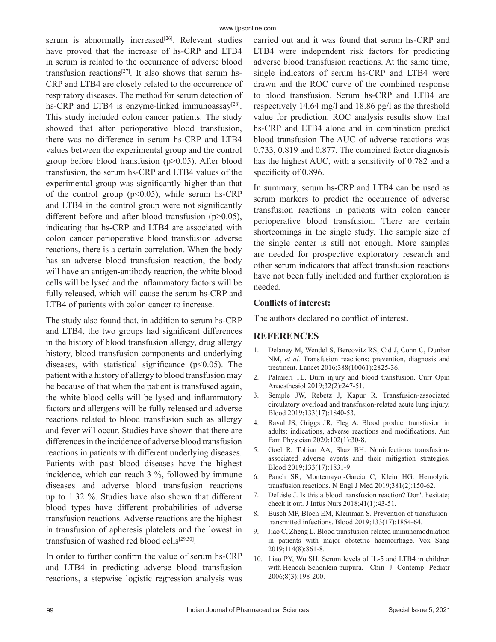serum is abnormally increased<sup>[26]</sup>. Relevant studies have proved that the increase of hs-CRP and LTB4 in serum is related to the occurrence of adverse blood transfusion reactions<sup>[27]</sup>. It also shows that serum hs-CRP and LTB4 are closely related to the occurrence of respiratory diseases. The method for serum detection of hs-CRP and LTB4 is enzyme-linked immunoassay $[28]$ . This study included colon cancer patients. The study showed that after perioperative blood transfusion, there was no difference in serum hs-CRP and LTB4 values between the experimental group and the control group before blood transfusion (p>0.05). After blood transfusion, the serum hs-CRP and LTB4 values of the experimental group was significantly higher than that of the control group ( $p<0.05$ ), while serum hs-CRP and LTB4 in the control group were not significantly different before and after blood transfusion (p>0.05), indicating that hs-CRP and LTB4 are associated with colon cancer perioperative blood transfusion adverse reactions, there is a certain correlation. When the body has an adverse blood transfusion reaction, the body will have an antigen-antibody reaction, the white blood cells will be lysed and the inflammatory factors will be fully released, which will cause the serum hs-CRP and LTB4 of patients with colon cancer to increase.

The study also found that, in addition to serum hs-CRP and LTB4, the two groups had significant differences in the history of blood transfusion allergy, drug allergy history, blood transfusion components and underlying diseases, with statistical significance ( $p$ <0.05). The patient with a history of allergy to blood transfusion may be because of that when the patient is transfused again, the white blood cells will be lysed and inflammatory factors and allergens will be fully released and adverse reactions related to blood transfusion such as allergy and fever will occur. Studies have shown that there are differences in the incidence of adverse blood transfusion reactions in patients with different underlying diseases. Patients with past blood diseases have the highest incidence, which can reach 3 %, followed by immune diseases and adverse blood transfusion reactions up to 1.32 %. Studies have also shown that different blood types have different probabilities of adverse transfusion reactions. Adverse reactions are the highest in transfusion of apheresis platelets and the lowest in transfusion of washed red blood cells $[29,30]$ .

In order to further confirm the value of serum hs-CRP and LTB4 in predicting adverse blood transfusion reactions, a stepwise logistic regression analysis was carried out and it was found that serum hs-CRP and LTB4 were independent risk factors for predicting adverse blood transfusion reactions. At the same time, single indicators of serum hs-CRP and LTB4 were drawn and the ROC curve of the combined response to blood transfusion. Serum hs-CRP and LTB4 are respectively 14.64 mg/l and 18.86 pg/l as the threshold value for prediction. ROC analysis results show that hs-CRP and LTB4 alone and in combination predict blood transfusion The AUC of adverse reactions was 0.733, 0.819 and 0.877. The combined factor diagnosis has the highest AUC, with a sensitivity of 0.782 and a specificity of 0.896.

In summary, serum hs-CRP and LTB4 can be used as serum markers to predict the occurrence of adverse transfusion reactions in patients with colon cancer perioperative blood transfusion. There are certain shortcomings in the single study. The sample size of the single center is still not enough. More samples are needed for prospective exploratory research and other serum indicators that affect transfusion reactions have not been fully included and further exploration is needed.

#### **Conflicts of interest:**

The authors declared no conflict of interest.

# **REFERENCES**

- 1. Delaney M, Wendel S, Bercovitz RS, Cid J, Cohn C, Dunbar NM, *et al.* Transfusion reactions: prevention, diagnosis and treatment. Lancet 2016;388(10061):2825-36.
- 2. Palmieri TL. Burn injury and blood transfusion. Curr Opin Anaesthesiol 2019;32(2):247-51.
- 3. Semple JW, Rebetz J, Kapur R. Transfusion-associated circulatory overload and transfusion-related acute lung injury. Blood 2019;133(17):1840-53.
- 4. Raval JS, Griggs JR, Fleg A. Blood product transfusion in adults: indications, adverse reactions and modifications. Am Fam Physician 2020;102(1):30-8.
- 5. Goel R, Tobian AA, Shaz BH. Noninfectious transfusionassociated adverse events and their mitigation strategies. Blood 2019;133(17):1831-9.
- 6. Panch SR, Montemayor-Garcia C, Klein HG. Hemolytic transfusion reactions. N Engl J Med 2019;381(2):150-62.
- 7. DeLisle J. Is this a blood transfusion reaction? Don't hesitate; check it out. J Infus Nurs 2018;41(1):43-51.
- 8. Busch MP, Bloch EM, Kleinman S. Prevention of transfusiontransmitted infections. Blood 2019;133(17):1854-64.
- 9. Jiao C, Zheng L. Blood transfusion-related immunomodulation in patients with major obstetric haemorrhage. Vox Sang 2019;114(8):861-8.
- 10. Liao PY, Wu SH. Serum levels of IL-5 and LTB4 in children with Henoch-Schonlein purpura. Chin J Contemp Pediatr 2006;8(3):198-200.